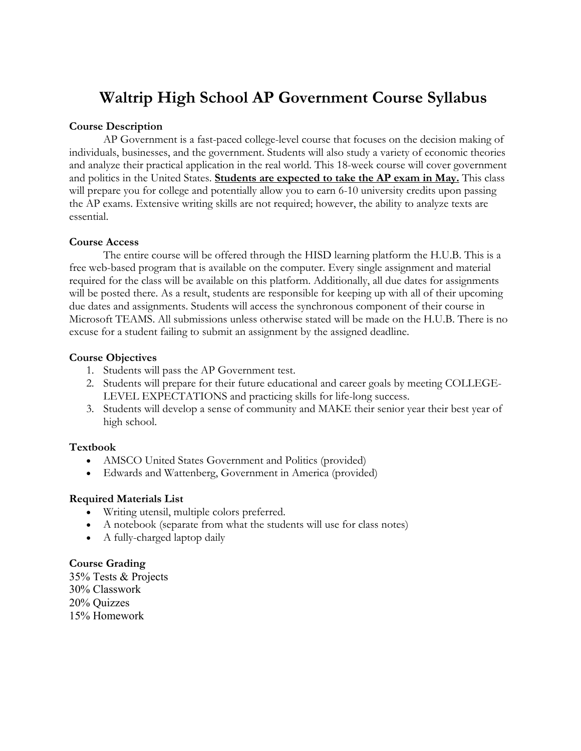# **Waltrip High School AP Government Course Syllabus**

## **Course Description**

AP Government is a fast-paced college-level course that focuses on the decision making of individuals, businesses, and the government. Students will also study a variety of economic theories and analyze their practical application in the real world. This 18-week course will cover government and politics in the United States. **Students are expected to take the AP exam in May.** This class will prepare you for college and potentially allow you to earn 6-10 university credits upon passing the AP exams. Extensive writing skills are not required; however, the ability to analyze texts are essential.

### **Course Access**

The entire course will be offered through the HISD learning platform the H.U.B. This is a free web-based program that is available on the computer. Every single assignment and material required for the class will be available on this platform. Additionally, all due dates for assignments will be posted there. As a result, students are responsible for keeping up with all of their upcoming due dates and assignments. Students will access the synchronous component of their course in Microsoft TEAMS. All submissions unless otherwise stated will be made on the H.U.B. There is no excuse for a student failing to submit an assignment by the assigned deadline.

# **Course Objectives**

- 1. Students will pass the AP Government test.
- 2. Students will prepare for their future educational and career goals by meeting COLLEGE-LEVEL EXPECTATIONS and practicing skills for life-long success.
- 3. Students will develop a sense of community and MAKE their senior year their best year of high school.

# **Textbook**

- AMSCO United States Government and Politics (provided)
- Edwards and Wattenberg, Government in America (provided)

### **Required Materials List**

- Writing utensil, multiple colors preferred.
- A notebook (separate from what the students will use for class notes)
- A fully-charged laptop daily

### **Course Grading**

35% Tests & Projects 30% Classwork 20% Quizzes 15% Homework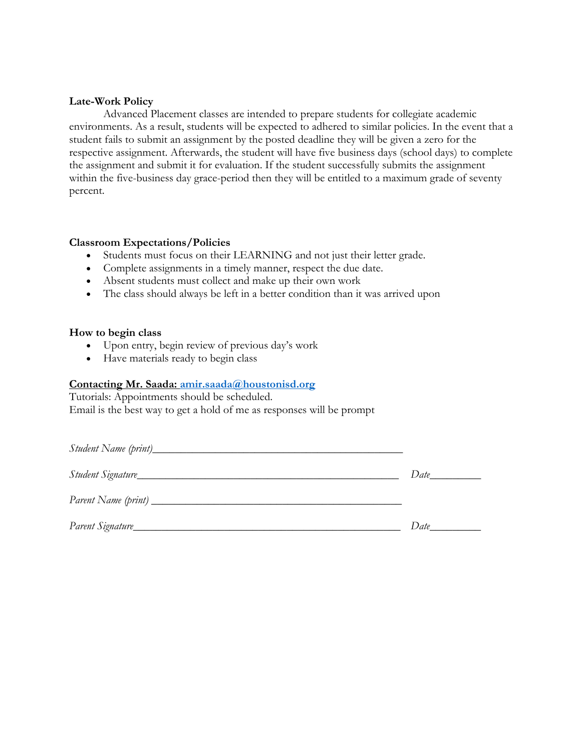#### **Late-Work Policy**

Advanced Placement classes are intended to prepare students for collegiate academic environments. As a result, students will be expected to adhered to similar policies. In the event that a student fails to submit an assignment by the posted deadline they will be given a zero for the respective assignment. Afterwards, the student will have five business days (school days) to complete the assignment and submit it for evaluation. If the student successfully submits the assignment within the five-business day grace-period then they will be entitled to a maximum grade of seventy percent.

#### **Classroom Expectations/Policies**

- Students must focus on their LEARNING and not just their letter grade.
- Complete assignments in a timely manner, respect the due date.
- Absent students must collect and make up their own work
- The class should always be left in a better condition than it was arrived upon

#### **How to begin class**

- Upon entry, begin review of previous day's work
- Have materials ready to begin class

#### **Contacting Mr. Saada: amir.saada@houstonisd.org**

Tutorials: Appointments should be scheduled. Email is the best way to get a hold of me as responses will be prompt

|                                | Date |
|--------------------------------|------|
| Parent Name (print) __________ |      |
| Parent Signature_              | Date |